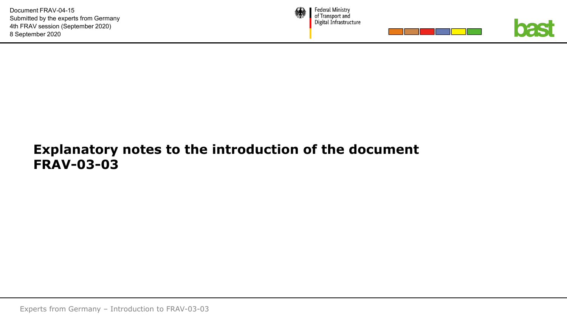

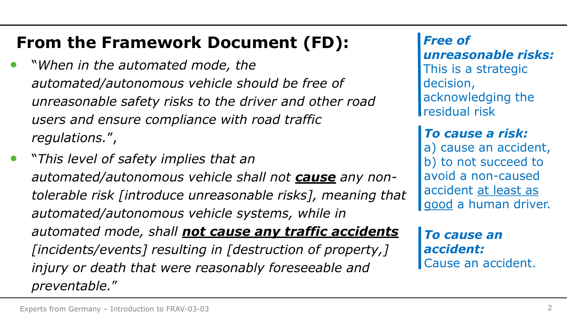# **From the Framework Document (FD):**

- "*When in the automated mode, the automated/autonomous vehicle should be free of unreasonable safety risks to the driver and other road users and ensure compliance with road traffic regulations.*",
- "*This level of safety implies that an automated/autonomous vehicle shall not cause any nontolerable risk [introduce unreasonable risks], meaning that automated/autonomous vehicle systems, while in automated mode, shall not cause any traffic accidents [incidents/events] resulting in [destruction of property,] injury or death that were reasonably foreseeable and preventable.*"

*Free of unreasonable risks:* This is a strategic decision, acknowledging the residual risk

*To cause a risk:* a) cause an accident, b) to not succeed to avoid a non-caused accident at least as good a human driver.

*To cause an accident:* Cause an accident.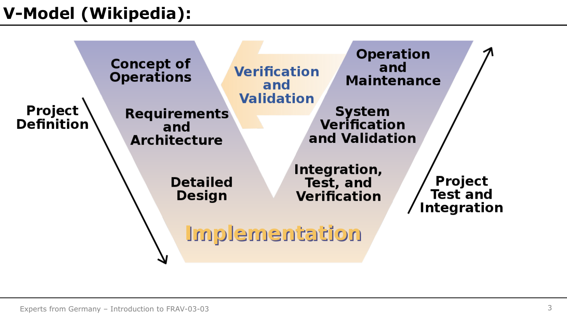# **V-Model (Wikipedia):**

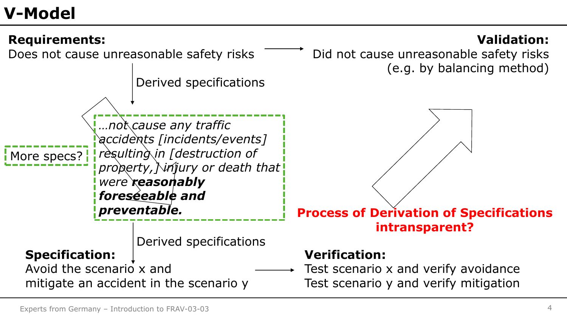### **V-Model**

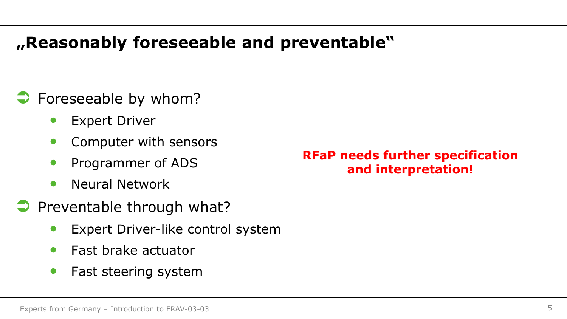### **"Reasonably foreseeable and preventable"**

- **C** Foreseeable by whom?
	- **Expert Driver**
	- Computer with sensors
	- Programmer of ADS
	- Neural Network
- $\Rightarrow$  Preventable through what?
	- Expert Driver-like control system
	- Fast brake actuator
	- Fast steering system

#### **RFaP needs further specification and interpretation!**